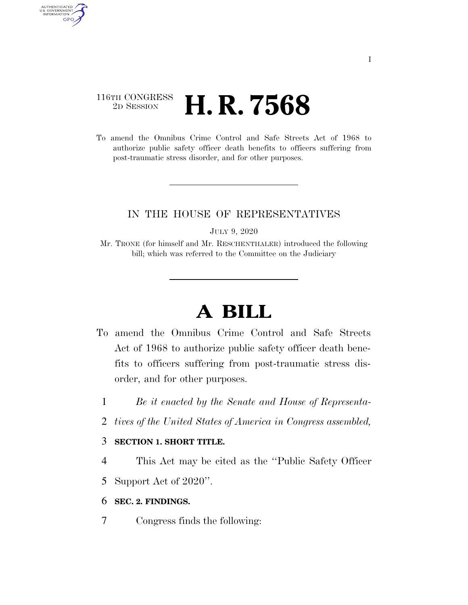## 116TH CONGRESS <sup>2D SESSION</sup> **H. R. 7568**

AUTHENTICATED U.S. GOVERNMENT GPO

> To amend the Omnibus Crime Control and Safe Streets Act of 1968 to authorize public safety officer death benefits to officers suffering from post-traumatic stress disorder, and for other purposes.

### IN THE HOUSE OF REPRESENTATIVES

JULY 9, 2020

Mr. TRONE (for himself and Mr. RESCHENTHALER) introduced the following bill; which was referred to the Committee on the Judiciary

# **A BILL**

- To amend the Omnibus Crime Control and Safe Streets Act of 1968 to authorize public safety officer death benefits to officers suffering from post-traumatic stress disorder, and for other purposes.
	- 1 *Be it enacted by the Senate and House of Representa-*
	- 2 *tives of the United States of America in Congress assembled,*

### 3 **SECTION 1. SHORT TITLE.**

- 4 This Act may be cited as the ''Public Safety Officer
- 5 Support Act of 2020''.
- 6 **SEC. 2. FINDINGS.**
- 7 Congress finds the following: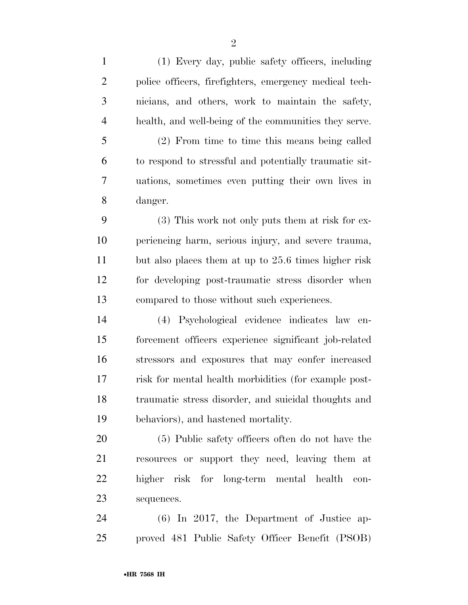| $\mathbf{1}$   | (1) Every day, public safety officers, including       |
|----------------|--------------------------------------------------------|
| $\overline{2}$ | police officers, firefighters, emergency medical tech- |
| 3              | nicians, and others, work to maintain the safety,      |
| $\overline{4}$ | health, and well-being of the communities they serve.  |
| 5              | (2) From time to time this means being called          |
| 6              | to respond to stressful and potentially traumatic sit- |
| 7              | uations, sometimes even putting their own lives in     |
| 8              | danger.                                                |
| 9              | (3) This work not only puts them at risk for ex-       |
| 10             | periencing harm, serious injury, and severe trauma,    |
| 11             | but also places them at up to 25.6 times higher risk   |
| 12             | for developing post-traumatic stress disorder when     |
| 13             | compared to those without such experiences.            |
| 14             | (4) Psychological evidence indicates law en-           |
| 15             | forcement officers experience significant job-related  |
| 16             | stressors and exposures that may confer increased      |
| 17             | risk for mental health morbidities (for example post-  |
| 18             | traumatic stress disorder, and suicidal thoughts and   |
| 19             | behaviors), and hastened mortality.                    |
| 20             | (5) Public safety officers often do not have the       |
| 21             | resources or support they need, leaving them at        |
| 22             | higher risk for long-term mental health con-           |
| 23             | sequences.                                             |
| 24             | $(6)$ In 2017, the Department of Justice ap-           |
| 25             | proved 481 Public Safety Officer Benefit (PSOB)        |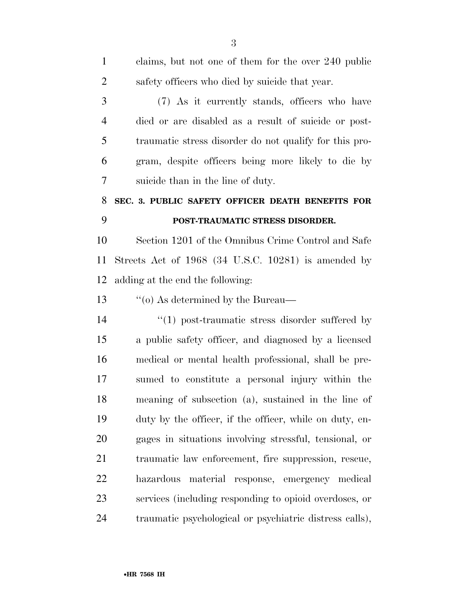| $\mathbf{1}$   | claims, but not one of them for the over 240 public     |
|----------------|---------------------------------------------------------|
| $\overline{2}$ | safety officers who died by suicide that year.          |
| 3              | (7) As it currently stands, officers who have           |
| $\overline{4}$ | died or are disabled as a result of suicide or post-    |
| 5              | traumatic stress disorder do not qualify for this pro-  |
| 6              | gram, despite officers being more likely to die by      |
| 7              | suicide than in the line of duty.                       |
| 8              | SEC. 3. PUBLIC SAFETY OFFICER DEATH BENEFITS FOR        |
| 9              | POST-TRAUMATIC STRESS DISORDER.                         |
| 10             | Section 1201 of the Omnibus Crime Control and Safe      |
| 11             | Streets Act of 1968 (34 U.S.C. 10281) is amended by     |
| 12             | adding at the end the following:                        |
| 13             | "(o) As determined by the Bureau—                       |
| 14             | $\lq(1)$ post-traumatic stress disorder suffered by     |
| 15             | a public safety officer, and diagnosed by a licensed    |
| 16             | medical or mental health professional, shall be pre-    |
| 17             | sumed to constitute a personal injury within the        |
| 18             | meaning of subsection (a), sustained in the line of     |
| 19             | duty by the officer, if the officer, while on duty, en- |
| 20             | gages in situations involving stressful, tensional, or  |
| 21             | traumatic law enforcement, fire suppression, rescue,    |
| $22\,$         | hazardous<br>material response, emergency<br>medical    |
| 23             | services (including responding to opioid overdoses, or  |
| 24             | traumatic psychological or psychiatric distress calls), |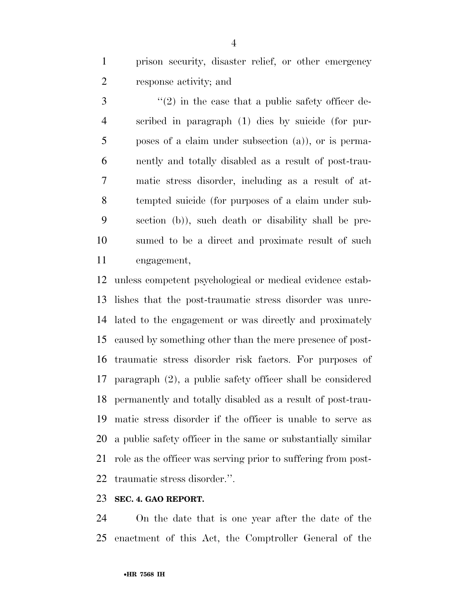prison security, disaster relief, or other emergency response activity; and

 $\mathcal{S}$  ''(2) in the case that a public safety officer de- scribed in paragraph (1) dies by suicide (for pur- poses of a claim under subsection (a)), or is perma- nently and totally disabled as a result of post-trau- matic stress disorder, including as a result of at- tempted suicide (for purposes of a claim under sub- section (b)), such death or disability shall be pre- sumed to be a direct and proximate result of such engagement,

 unless competent psychological or medical evidence estab- lishes that the post-traumatic stress disorder was unre- lated to the engagement or was directly and proximately caused by something other than the mere presence of post- traumatic stress disorder risk factors. For purposes of paragraph (2), a public safety officer shall be considered permanently and totally disabled as a result of post-trau- matic stress disorder if the officer is unable to serve as a public safety officer in the same or substantially similar role as the officer was serving prior to suffering from post-traumatic stress disorder.''.

#### **SEC. 4. GAO REPORT.**

 On the date that is one year after the date of the enactment of this Act, the Comptroller General of the